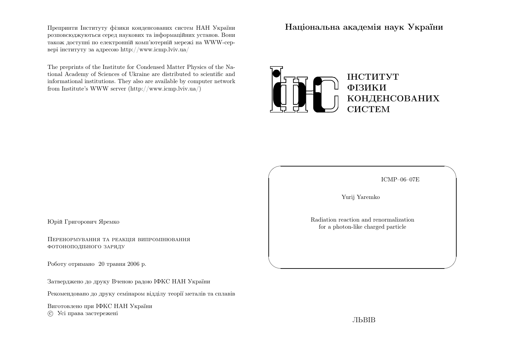Препринти Iнституту фiзики конденсованих систем НАН України розповсюджуються серед наукових та iнформацiйних установ. Вони також доступн<sup>i</sup> по електроннiй комп'ютернiй мереж<sup>i</sup> на WWW-сервер<sup>i</sup> iнституту за адресою http://www.icmp.lviv.ua/

The preprints of the Institute for Condensed Matter Physics of the National Academy of Sciences of Ukraine are distributed to scientific and informational institutions. They also are available by computer networkfrom Institute's WWW server (http://www.icmp.lviv.ua/)

Нацiональна академiя наук України



ICMP–06–07E

✩

 $\mathcal{S}$ 

Yurij Yaremko

 $\sqrt{2}$ 

 $\setminus$ 

Radiation reaction and renormalizationfor <sup>a</sup> <sup>p</sup>hoton-like charged particle

Юрiй Григорович Яремко

Перенормування та реакцiя випромiнюванняфотоноподiбного заряду

Роботу отримано <sup>20</sup> травня <sup>2006</sup> р.

Затверджено до друку Вченою радою IФКС НАН України

Рекомендовано до друку семiнаром вiддiлу теорiї металiв та сплавiв

Виготовлено при IФКС НАН Україниc Усi права застережен<sup>i</sup>

ЛЬВIВ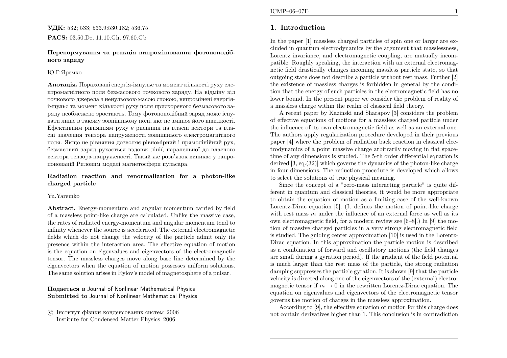# **УДК:** 532; 533; 533.9:530.182; 536.75  $\mathbf{PACS:}\; 03.50.\mathrm{De},\, 11.10.\mathrm{Gh},\, 97.60.\mathrm{Gb}$

#### Перенормування та реакцiя випромiнювання фотоноподiбного заряду

#### Ю.Г.Яремко

**Анотація.** Пораховані енергія-імпульс та момент кількості руху електромагнiтного поля безмасового точкового заряду. На вiдмiну вiд точкового джерела <sup>з</sup> ненульовою масою спокою, випромiненi енергiяiмпульс та момент кiлькостi руху поля прискореного безмасового заряду необмежено зростають. Тому фотоноподiбний заряд може iснувати лише <sup>в</sup> такому зовнiшньому полi, яке не змiнює його швидкостi. Ефективним <sup>р</sup>iвнянням руху <sup>є</sup> <sup>р</sup>iвняння на власнi вектори та власнi значення тензора напруженост<sup>i</sup> зовнiшнього електромагнiтного поля. Якщо це <sup>р</sup>iвняння дозволяє <sup>р</sup>iвномiрний <sup>i</sup> прямолiнiйний рух, безмасовий заряд рухається вздовж лiнiї, паралельно<sup>ї</sup> до власного вектора тензора напруженостi. Такий же розв'язок виникає <sup>у</sup> запропонованiй Риловим моделi магнетосфери пульсара.

## Radiation reaction and renormalization for <sup>a</sup> <sup>p</sup>hoton-likecharged particle

#### Yu.Yaremko

Abstract. Energy-momentum and angular momentum carried by field of <sup>a</sup> massless point-like charge are calculated. Unlike the massive case, the rates of radiated energy-momentum and angular momentum tend to<br>infinitumly more than any is a secondary of The external electronic matrix infinity whenever the source is accelerated. The external electromagnetic fields which do not change the velocity of the particle admit only its presence within the interaction area. The effective equation of motion is the equation on eigenvalues and eigenvectors of the electromagnetic tensor. The massless charges move along base line determined by theeigenvectors when the equation of motion possesses uniform solutions.<br>The same solution arises in Pular's model of magnetary have of a pulsar. The same solution arises in Rylov's model of magnetosphere of <sup>a</sup> pulsar.

# Подається <sup>в</sup> Journal of Nonlinear Mathematical Physics Submitted to Journal of Nonlinear Mathematical Physics

 c Iнститут фiзики конденсованих систем <sup>2006</sup>Institute for Condensed Matter Physics <sup>2006</sup>

# 1. Introduction

In the paper [1] massless charged particles of spin one or larger are excluded in quantum electrodynamics by the argument that masslessness, Lorentz invariance, and electromagnetic coupling, are mutually incompatible. Roughly speaking, the interaction with an external electromagnetic field drastically changes incoming massless particle state, so that outgoing state does not describe <sup>a</sup> particle without rest mass. Further [2] the existence of massless charges is forbidden in genera<sup>l</sup> by the condition that the energy of such particles in the electromagnetic field has no lower bound. In the present paper we consider the problem of reality of <sup>a</sup> massless charge within the realm of classical field theory.

A recent paper by Kazinski and Sharapov [3] considers the problem of effective equations of motions for <sup>a</sup> massless charged particle under the influence of its own electromagnetic field as well as an external one. The authors apply regularization procedure developed in their previous paper [4] where the problem of radiation back reaction in classical electrodynamics of <sup>a</sup> point massive charge arbitrarily moving in flat spacetime of any dimensions is studied. The 5-th order differential equation is derived [3, eq.(32)] which governs the dynamics of the <sup>p</sup>hoton-like charge in four dimensions. The reduction procedure is developed which allowsto select the solutions of true <sup>p</sup>hysical meaning.

Since the concept of <sup>a</sup> "zero-mass interacting particle" is quite different in quantum and classical theories, it would be more appropriate to obtain the equation of motion as <sup>a</sup> limiting case of the well-known Lorentz-Dirac equation [5]. (It defines the motion of point-like chargewith rest mass m under the influence of an external force as well as its<br>cum electromographic field, for a modern review see [6,  $\mathcal{S}$ ]. In [0] the ma own electromagnetic field, for <sup>a</sup> modern review see [6–8].) In [9] the motion of massive charged particles in <sup>a</sup> very strong electromagnetic field is studied. The guiding center approximation [10] is used in the Lorentz-Dirac equation. In this approximation the particle motion is described as <sup>a</sup> combination of forward and oscillatory motions (the field changes are small during <sup>a</sup> gyration period). If the gradient of the field potential is much larger than the rest mass of the particle, the strong radiation damping suppresses the particle gyration. It is shown [9] that the particle velocity is directed along one of the eigenvectors of the (external) electromagnetic tensor if  $m \rightarrow$ magnetic tensor if  $m \to 0$  in the rewritten Lorentz-Dirac equation. The equation on eigenvalues and eigenvectors of the electromagnetic tensor governs the motion of charges in the massless approximation.

According to [9], the effective equation of motion for this charge doesnot contain derivatives higher than 1. This conclusion is in contradiction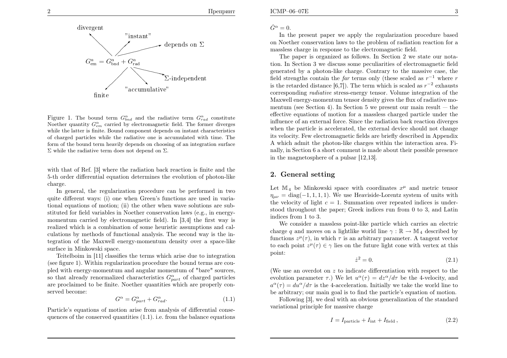$\Gamma$ репринт



Noether quantity  $G_{em}^{\alpha}$  carried by electromagnetic field. The former diverges Figure 1. The bound term  $G^{\alpha}_{bnd}$  and the radiative term  $G^{\alpha}_{rad}$  constitute while the latter is finite. Bound component depends on instant characteristics of charged particles while the radiative one is accumulated with time. The form of the bound term heavily depends on choosing of an integration surface $\Sigma$  while the radiative term does not depend on  $\Sigma$ .

with that of Ref. [3] where the radiation back reaction is finite and the 5-th order differential equation determines the evolution of <sup>p</sup>hoton-likecharge.

1culations by methods of functional analysis. The second way is the in tegration of the Maxwell energy-momentum density over <sup>a</sup> space-like In general, the regularization procedure can be performed in two quite different ways: (i) one when Green's functions are used in variational equations of motion; (ii) the other when wave solutions are substituted for field variables in Noether conservation laws (e.g., in energymomentum carried by electromagnetic field). In [3,4] the first way is realized which is <sup>a</sup> combination of some heuristic assumptions and calsurface in Minkowski space.

Teitelboim in [11] classifies the terms which arise due to integration (see figure 1). Within regularization procedure the bound terms are cou<sup>p</sup>led with energy-momentum and angular momentum of "bare" sources, so that already renormalized characteristics  $G_{part}^{\alpha}$  of charged particles are proclaimed to be finite. Noether quantities which are properly conserved become:

$$
G^{\alpha} = G^{\alpha}_{part} + G^{\alpha}_{rad}.
$$
\n(1.1)

Particle's equations of motion arise from analysis of differential consequences of the conserved quantities (1.1). i.e. from the balance equations

In the present paper we apply the regularization procedure based on Noether conservation laws to the problem of radiation reaction for <sup>a</sup>massless charge in response to the electromagnetic field.

The paper is organized as follows. In Section <sup>2</sup> we state our notation. In Section <sup>3</sup> we discuss some peculiarities of electromagnetic field generated by <sup>a</sup> <sup>p</sup>hoton-like charge. Contrary to the massive case, thefield strengths contain the *far* terms only (these scaled as  $r^{-1}$  where r is the retarded distance [6,7]). The term which is scaled as  $r^{-2}$  exhausts corresponding radiative stress-energy tensor. Volume integration of the Maxwell energy-momentum tensor density <sup>g</sup>ives the flux of radiative momentum (see Section 4). In Section 5 we present our main result  $-$  the effective equations of motion for <sup>a</sup> massless charged particle under the influence of an external force. Since the radiation back reaction diverges when the particle is accelerated, the external device should not change its velocity. Few electromagnetic fields are briefly described in Appendix A which admit the <sup>p</sup>hoton-like charges within the interaction area. Finally, in Section <sup>6</sup> <sup>a</sup> short comment is made about their possible presencein the magnetosphere of <sup>a</sup> pulsar [12,13].

# 2. General setting

Let  $\mathbb{M}_4$  be Minkowski space with coordinates  $x^{\mu}$  and metric tensor  $\eta_{\mu\nu} = \text{diag}(-1, 1, 1, 1)$ . We use Heaviside-Lorentz system of units with the velocity of light  $c = 1$ . Summation over repeated indices is understood throughout the paper; Greek indices run from 0 to 3, and Latin indices from 1 to 2. indices from <sup>1</sup> to <sup>3</sup>.

We consider <sup>a</sup> massless point-like particle which carries an electric charge q and moves on a lightlike world line  $\gamma : \mathbb{R} \to \mathbb{M}_4$  described by functions  $z^{\mu}(\tau)$ , in which  $\tau$  is an arbitrary parameter. A tangent vector to each point  $z^{\mu}(\tau) \in \gamma$  lies on the future light cone with vertex at this point:

$$
\dot{z}^2 = 0.\tag{2.1}
$$

(We use an overdot on  $z$  to indicate differentiation with respect to the evolution parameter  $\tau$ .) We let  $u^{\alpha}(\tau) = dz^{\alpha}/d\tau$  be the 4-velocity, and  $a^{\alpha}(\tau) = du^{\alpha}/d\tau$  is the 4-acceleration. Initially we take the world line to be arbitrary; our main goa<sup>l</sup> is to find the particle's equation of motion.

Following [3], we deal with an obvious generalization of the standardvariational principle for massive charge

$$
I = Iparticle + Iint + Ifield, \t(2.2)
$$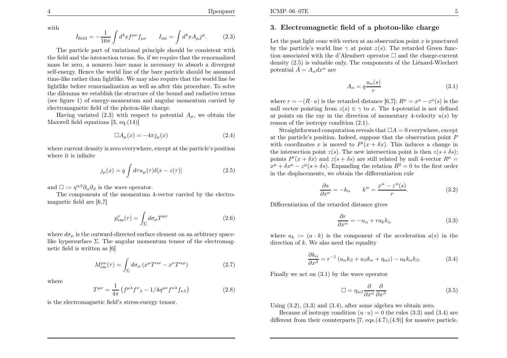with

4

$$
I_{\text{field}} = -\frac{1}{16\pi} \int d^4x f^{\mu\nu} f_{\mu\nu} \qquad I_{\text{int}} = \int d^4x A_{\mu} j^{\mu}.
$$
 (2.3)

The particle part of variational principle should be consistent with the field and the interaction terms. So, if we require that the renormalized mass be zero, <sup>a</sup> nonzero bare mass is necessary to absorb <sup>a</sup> divergent self-energy. Hence the world line of the bare particle should be assumed time-like rather than lightlike. We may also require that the world line be lightlike before renormalization as well as after this procedure. To solve the dilemma we establish the structure of the bound and radiative terms (see figure 1) of energy-momentum and angular momentum carried byelectromagnetic field of the <sup>p</sup>hoton-like charge.

Having variated  $(2.3)$  with respect to potential  $A_{\mu}$ , we obtain the Maxwell field equations [3, eq. (14)]

$$
\Box A_{\mu}(x) = -4\pi j_{\mu}(x) \tag{2.4}
$$

where current density is zero everywhere, except at the particle's positionwhere it is infinite

$$
j_{\mu}(x) = q \int d\tau u_{\mu}(\tau) \delta[x - z(\tau)] \tag{2.5}
$$

and  $\square := \eta^{\alpha\beta}\partial_{\alpha}\partial_{\beta}$  is the wave operator.

The components of the momentum 4-vector carried by the electromagnetic field are [6,7]

$$
p_{\rm em}^{\nu}(\tau) = \int_{\Sigma} d\sigma_{\mu} T^{\mu\nu}
$$
\n(2.6)

where  $d\sigma_{\mu}$  is the outward-directed surface element on an arbitrary spacelike hypersurface  $\Sigma$ . The angular momentum tensor of the electromagnetic field is written as [6]

$$
M_{\rm em}^{\mu\nu}(\tau) = \int_{\Sigma} d\sigma_{\alpha} \left( x^{\mu} T^{\alpha\nu} - x^{\nu} T^{\alpha\mu} \right) \tag{2.7}
$$

where

$$
T^{\mu\nu} = \frac{1}{4\pi} \left( f^{\mu\lambda} f^{\nu}{}_{\lambda} - 1/4 \eta^{\mu\nu} f^{\kappa\lambda} f_{\kappa\lambda} \right) \tag{2.8}
$$

is the electromagnetic field's stress-energy tensor.

# 3. Electromagnetic field of <sup>a</sup> <sup>p</sup>hoton-like charge

Let the past light cone with vertex at an observation point  $x$  is punctured by the particle's world line  $\gamma$  at point  $z(s)$ . The retarded Green function associated with the d'Alembert operator  $\square$  and the charge-current density  $(2.5)$  is valuable only. The components of the Liénard-Wiechert potential  $\hat{A} = A_{\alpha} dx^{\alpha}$  are

$$
A_{\alpha} = q \frac{u_{\alpha}(s)}{r}
$$
 (3.1)

where  $r = -(R \cdot u)$  is the retarded distance  $[6,7]$ ;  $R^{\mu} = x^{\mu} - z^{\mu}(s)$  is the null vector pointing from  $z(s) \in \gamma$  to x. The 4-potential is not defined<br>at points on the not in the direction of momentant 4 velocity  $\alpha(s)$  by at points on the ray in the direction of momentary 4-velocity  $u(s)$  by reason of the isotropy condition (2.1).

Straightforward computation reveals that  $\Box A = 0$  everywhere, except at the particle's position. Indeed, suppose that the observation point  $P$ with coordinates x is moved to  $P'(x + \delta x)$ . This induces a change in the intersection point  $z(s)$ . The new intersection point is then  $z(s+\delta s)$ ; points  $P'(x + \delta x)$  and  $z(s + \delta s)$  are still related by null 4-vector  $R^{\mu} =$  $x^{\mu} + \delta x^{\mu} - z^{\mu}(s + \delta s)$ . Expanding the relation  $R^2 = 0$  to the first order  $x^{\mu} + \delta x^{\mu} - z^{\mu}(s + \delta s)$ . Expanding the relation  $R^2 = 0$  in the displacements, we obtain the differentiation rule

$$
\frac{\partial s}{\partial x^{\alpha}} = -k_{\alpha} \qquad k^{\alpha} = \frac{x^{\alpha} - z^{\alpha}(s)}{r}.
$$
 (3.2)

Differentiation of the retarded distance <sup>g</sup>ives

$$
\frac{\partial r}{\partial x^{\alpha}} = -u_{\alpha} + ra_{k}k_{\alpha} \tag{3.3}
$$

where  $a_k := (a \cdot k)$  is the component of the acceleration  $a(s)$  in the direction of k. We also need the equality

$$
\frac{\partial k_{\alpha}}{\partial x^{\beta}} = r^{-1} \left( u_{\alpha} k_{\beta} + u_{\beta} k_{\alpha} + \eta_{\alpha \beta} \right) - a_k k_{\alpha} k_{\beta}.
$$
 (3.4)

Finally we act on (3.1) by the wave operator

$$
\Box = \eta_{\alpha\beta} \frac{\partial}{\partial x^{\alpha}} \frac{\partial}{\partial x^{\beta}} \tag{3.5}
$$

Using  $(3.2)$ ,  $(3.3)$  and  $(3.4)$ , after some algebra we obtain zero.

Because of isotropy condition  $(u \cdot u) = 0$  the rules (3.3) and (3.4) are different from their counterparts  $[7, \text{eqs.}(4.7), (4.9)]$  for massive particle.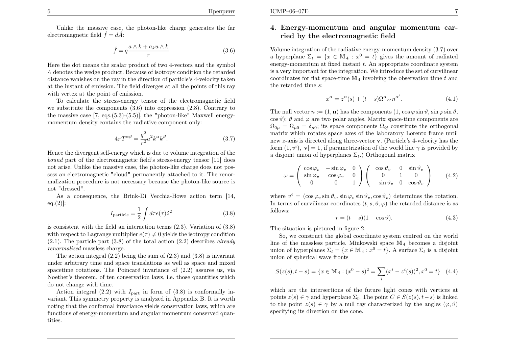Unlike the massive case, the <sup>p</sup>hoton-like charge generates the farelectromagnetic field  $\hat{f} = d\hat{A}$ :

$$
\hat{f} = q \frac{a \wedge k + a_k u \wedge k}{r} \tag{3.6}
$$

Here the dot means the scalar product of two 4-vectors and the symbol ∧ denotes the wedge product. Because of isotropy condition the retarded distance vanishes on the ray in the direction of particle's 4-velocity taken at the instant of emission. The field diverges at all the points of this raywith vertex at the point of emission.

To calculate the stress-energy tensor of the electromagnetic field we substitute the components (3.6) into expression (2.8). Contrary to the massive case [7, eqs.(5.3)-(5.5)], the "photon-like" Maxwell energymomentum density contains the radiative component only:

$$
4\pi T^{\alpha\beta} = \frac{q^2}{r^2} a^2 k^{\alpha} k^{\beta}.
$$
 (3.7)

Hence the divergent self-energy which is due to volume integration of the bound part of the electromagnetic field's stress-energy tensor [11] does not arise. Unlike the massive case, the <sup>p</sup>hoton-like charge does not possess an electromagnetic "cloud" permanently attached to it. The renormalization procedure is not necessary because the <sup>p</sup>hoton-like source isnot "dressed".

As <sup>a</sup> consequence, the Brink-Di Vecchia-Howe action term [14,  $eq.(2)!$ 

$$
I_{\text{particle}} = \frac{1}{2} \int d\tau e(\tau) \dot{z}^2 \tag{3.8}
$$

is consistent with the field an interaction terms (2.3). Variation of (3.8)with respect to Lagrange multiplier  $e(\tau) \neq 0$  yields the isotropy condition  $(2.1)$ . The particle part  $(3.8)$  of the total action  $(2.2)$  describes *already* renormalized massless charge.

The action integral  $(2.2)$  being the sum of  $(2.3)$  and  $(3.8)$  is invariant under arbitrary time and space translations as well as space and mixedspacetime rotations. The Poincaré invariance of  $(2.2)$  assures us, via Noether's theorem, of ten conservation laws, i.e. those quantities whichdo not change with time.

Action integral  $(2.2)$  with  $I_{part}$  in form of  $(3.8)$  is conformally in variant. This symmetry property is analyzed in Appendix B. It is worth noting that the conformal invariance <sup>y</sup>ields conservation laws, which are functions of energy-momentum and angular momentum conserved quantities.

## 4. Energy-momentum and angular momentum carried by the electromagnetic field

Volume integration of the radiative energy-momentum density (3.7) overa hyperplane  $\Sigma_t = \{x \in \mathbb{M}_4 : x^0 = t\}$  gives the amount of radiated energy-momentum at fixed instant  $t$ . An appropriate coordinate system is <sup>a</sup> very important for the integration. We introduce the set of curvilinearcoordinates for flat space-time  $\mathbb{M}_4$  involving the observation time t and the retarded time <sup>s</sup>:

$$
x^{\alpha} = z^{\alpha}(s) + (t - s)\Omega^{\alpha}{}_{\alpha'}n^{\alpha'}.
$$
\n(4.1)

The null vector  $n := (1, n)$  has the components  $(1, \cos \varphi \sin \vartheta, \sin \varphi \sin \vartheta,$  $(\cos \vartheta)$ ;  $\vartheta$  and  $\varphi$  are two polar angles. Matrix space-time components are  $\Omega_{0\mu} = \Omega_{\mu 0} = \delta_{\mu 0}$ ; its space components  $\Omega_{ij}$  constitute the orthogonal matrix which rotates space axes of the laboratory Lorentz frame until new z-axis is directed along three-vector **v**. (Particle's 4-velocity has the form  $(1, v^i)$ ,  $|\mathbf{v}| = 1$ , if parametrization of the world line  $\gamma$  is provided by a disjoint union of hyperplanes  $\Sigma_t$ .) Orthogonal matrix

$$
\omega = \begin{pmatrix} \cos \varphi_v & -\sin \varphi_v & 0 \\ \sin \varphi_v & \cos \varphi_v & 0 \\ 0 & 0 & 1 \end{pmatrix} \begin{pmatrix} \cos \vartheta_v & 0 & \sin \vartheta_v \\ 0 & 1 & 0 \\ -\sin \vartheta_v & 0 & \cos \vartheta_v \end{pmatrix}
$$
(4.2)

where  $v^i = (\cos \varphi_v \sin \vartheta_v, \sin \varphi_v \sin \vartheta_v, \cos \vartheta_v)$  determines the rotation. In terms of curvilinear coordinates  $(t, s, \vartheta, \varphi)$  the retarded distance is as follows:

$$
r = (t - s)(1 - \cos \vartheta). \tag{4.3}
$$

The situation is <sup>p</sup>ictured in figure 2.

So, we construct the <sup>g</sup>lobal coordinate system centred on the worldline of the massless particle. Minkowski space  $\mathbb{M}_4$  becomes a disjoint union of hyperplanes  $\Sigma_t = \{x \in \mathbb{M}_4 : x^0 = t\}$ . A surface  $\Sigma_t$  is a disjoint union of spherical wave fronts

$$
S(z(s), t - s) = \{x \in \mathbb{M}_4 : (x^0 - s)^2 = \sum_i (x^i - z^i(s))^2, x^0 = t\}
$$
 (4.4)

which are the intersections of the future light cones with vertices atpoints  $z(s) \in \gamma$  and hyperplane  $\Sigma_t$ . The point  $C \in S(z(s), t-s)$  is linked to the point  $z(s) \in \gamma$  by a null ray characterized by the angles  $(\varphi, \vartheta)$ specifying its direction on the cone.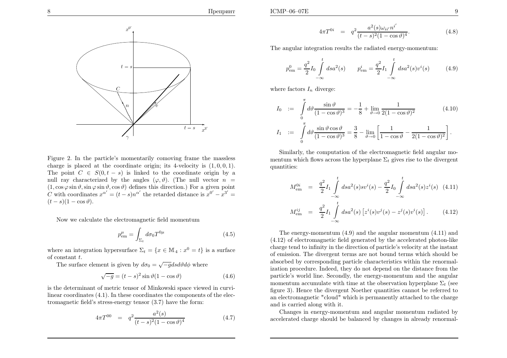Препринт



charge is placed at the coordinate origin; its 4-velocity is  $(1, 0, 0, 1)$ . Figure 2. In the particle's momentarily comoving frame the masslessThe point  $C \in S(0, t-s)$  is linked to the coordinate origin by a<br>multiple constrained by the coordinate  $(x, 0)$ . (The multiple coordinate null ray characterized by the angles  $(\varphi, \vartheta)$ . (The null vector  $n =$  $(1, \cos\varphi \sin\vartheta, \sin\varphi \sin\vartheta, \cos\vartheta)$  defines this direction.) For a given point C with coordinates  $x^{\alpha'} = (t - s)n^{\alpha'}$  the retarded distance is  $x^0$  $\frac{x^3}{3}$  $\dot{\ }$   $\, =$  $(t-s)(1-\cos\vartheta).$ 

Now we calculate the electromagnetic field momentum

$$
p_{\rm em}^{\mu} = \int_{\Sigma_t} d\sigma_0 T^{0\mu} \tag{4.5}
$$

where an integration hypersurface  $\Sigma_t = \{x \in \mathbb{M}_4 : x^0 = t\}$  is a surface of constant  $t$ .

The surface element is given by  $d\sigma_0 = \sqrt{-g} ds d\theta d\phi$  where

$$
\sqrt{-g} = (t - s)^2 \sin \vartheta (1 - \cos \vartheta) \tag{4.6}
$$

is the determinant of metric tensor of Minkowski space viewed in curvilinear coordinates (4.1). In these coordinates the components of the electromagnetic field's stress-energy tensor (3.7) have the form:

$$
4\pi T^{00} = q^2 \frac{a^2(s)}{(t-s)^2 (1-\cos\vartheta)^4}
$$
 (4.7)

$$
4\pi T^{0i} = q^2 \frac{a^2(s)\omega_{ii'}n^{i'}}{(t-s)^2(1-\cos\vartheta)^4}.
$$
 (4.8)

The angular integration results the radiated energy-momentum:

$$
p_{\text{em}}^0 = \frac{q^2}{2} I_0 \int_{-\infty}^t ds a^2(s) \qquad p_{\text{em}}^i = \frac{q^2}{2} I_1 \int_{-\infty}^t ds a^2(s) v^i(s) \tag{4.9}
$$

where factors  $I_n$  diverge:

$$
I_0 := \int_0^{\pi} d\theta \frac{\sin \theta}{(1 - \cos \theta)^3} = -\frac{1}{8} + \lim_{\theta \to 0} \frac{1}{2(1 - \cos \theta)^2}
$$
(4.10)  

$$
I_1 := \int_0^{\pi} d\theta \frac{\sin \theta \cos \theta}{(1 - \cos \theta)^3} = \frac{3}{8} - \lim_{\theta \to 0} \left[ \frac{1}{1 - \cos \theta} - \frac{1}{2(1 - \cos \theta)^2} \right].
$$

Similarly, the computation of the electromagnetic field angular momentum which flows across the hyperplane  $\Sigma_t$  gives rise to the divergent quantities:

$$
M_{\text{em}}^{0i} = \frac{q^2}{2} I_1 \int_{-\infty}^{t} ds a^2(s) s v^i(s) - \frac{q^2}{2} I_0 \int_{-\infty}^{t} ds a^2(s) z^i(s) \quad (4.11)
$$
  

$$
M_{\text{em}}^{ij} = \frac{q^2}{2} I_1 \int_{-\infty}^{t} ds a^2(s) \left[ z^i(s) v^j(s) - z^j(s) v^i(s) \right]. \quad (4.12)
$$

The energy-momentum (4.9) and the angular momentum (4.11) and (4.12) of electromagnetic field generated by the accelerated <sup>p</sup>hoton-like charge tend to infinity in the direction of particle's velocity at the instant of emission. The divergent terms are not bound terms which should be absorbed by corresponding particle characteristics within the renormalization procedure. Indeed, they do not depend on the distance from the particle's world line. Secondly, the energy-momentum and the angularmomentum accumulate with time at the observation hyperplane  $\Sigma_t$  (see figure 3). Hence the divergent Noether quantities cannot be referred to an electromagnetic "cloud" which is permanently attached to the chargeand is carried along with it.

Changes in energy-momentum and angular momentum radiated <sup>b</sup>yaccelerated charge should be balanced by changes in already renormal-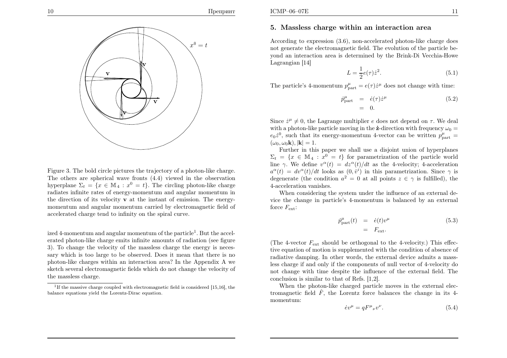

# 5. Massless charge within an interaction area

According to expression (3.6), non-accelerated <sup>p</sup>hoton-like charge does not generate the electromagnetic field. The evolution of the particle beyond an interaction area is determined by the Brink-Di Vecchia-HoweLagrangian [14]

$$
L = \frac{1}{2}e(\tau)\dot{z}^2.
$$
\n
$$
(5.1)
$$

The particle's 4-momentum  $p_{\text{part}}^{\mu} = e(\tau)\dot{z}^{\mu}$  does not change with time:

$$
\dot{p}_{\text{part}}^{\mu} = \dot{e}(\tau)\dot{z}^{\mu} \n= 0.
$$
\n(5.2)

Since  $\dot{z}^{\mu} \neq 0$ , the Lagrange multiplier e does not depend on  $\tau$ . We deal with a photon-like particle moving in the  $\dot{z}$ -direction with frequency  $\omega_0 =$  $e_0\dot{z}^0$ , such that its energy-momentum 4-vector can be written  $p_{\text{part}}^{\mu}$  =  $(\omega_0, \omega_0\mathbf{k}), |\mathbf{k}|=1.$ 

Further in this paper we shall use <sup>a</sup> disjoint union of hyperplanes $\Sigma_t = \{x \in \mathbb{M}_4 : x^0 = t\}$  for parametrization of the particle world line  $\gamma$ . We define  $v^{\alpha}(t) = dz^{\alpha}(t)/dt$  as the 4-velocity; 4-acceleration  $a^{\alpha}(t) = dv^{\alpha}(t)/dt$  looks as  $(0, \dot{v}^i)$  in this parametrization. Since  $\gamma$  is degenerate (the condition  $a^2 = 0$  at all points  $z \in \gamma$  is fulfilled), the 4-acceleration vanishes.

When considering the system under the influence of an external device the change in particle's 4-momentum is balanced by an external force  $F_{\text{ext}}$ :

$$
\dot{p}_{\text{part}}^{\mu}(t) = \dot{e}(t)v^{\mu} \tag{5.3}
$$
\n
$$
= F_{\text{ext}}.
$$

(The 4-vector  $F_{\text{ext}}$  should be orthogonal to the 4-velocity.) This effective equation of motion is supplemented with the condition of absence of radiative damping. In other words, the external device admits <sup>a</sup> massless charge if and only if the components of null vector of 4-velocity do not change with time despite the influence of the external field. Theconclusion is similar to that of Refs. [1,2].

When the <sup>p</sup>hoton-like charged particle moves in the external electromagnetic field  $\hat{F}$ , the Lorentz force balances the change in its 4momentum:

$$
\dot{e}v^{\mu} = qF^{\mu}{}_{\nu}v^{\nu}.\tag{5.4}
$$

accelerated charge tend to infinity on the spiral curve. Figure 3. The bold circle <sup>p</sup>ictures the trajectory of <sup>a</sup> <sup>p</sup>hoton-like charge. The others are spherical wave fronts (4.4) viewed in the observationhyperplane  $\Sigma_t = \{x \in \mathbb{M}_4 : x^0 = t\}$ . The circling photon-like charge radiates infinite rates of energy-momentum and angular momentum in the direction of its velocity <sup>v</sup> at the instant of emission. The energymomentum and angular momentum carried by electromagnetic field of

ized 4-momentum and angular momentum of the particle<sup>1</sup>. But the accelerated <sup>p</sup>hoton-like charge emits infinite amounts of radiation (see figure 3). To change the velocity of the massless charge the energy is necessary which is too large to be observed. Does it mean that there is no <sup>p</sup>hoton-like charges within an interaction area? In the Appendix <sup>A</sup> we sketch several electromagnetic fields which do not change the velocity of the massless charge.



<sup>&</sup>lt;sup>1</sup>If the massive charge coupled with electromagnetic field is considered [15,16], the balance equations <sup>y</sup>ield the Lorentz-Dirac equation.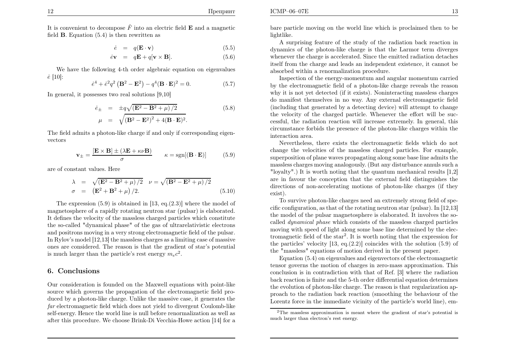ICMP–06–07E

It is convenient to decompose  $\hat{F}$  into an electric field **E** and a magnetic field  $\bf{B}$ . Equation (5.4) is then rewritten as

$$
\dot{e} = q(\mathbf{E} \cdot \mathbf{v}) \tag{5.5}
$$

$$
\dot{e}\mathbf{v} = q\mathbf{E} + q[\mathbf{v} \times \mathbf{B}]. \tag{5.6}
$$

We have the following 4-th order algebraic equation on eigenvalues $\dot{e}~[10]$ :

$$
\dot{e}^4 + \dot{e}^2 q^2 (\mathbf{B}^2 - \mathbf{E}^2) - q^4 (\mathbf{B} \cdot \mathbf{E})^2 = 0.
$$
 (5.7)

In general, it possesses two real solutions [9,10]

$$
\dot{e}_{\pm} = \pm q \sqrt{(\mathbf{E}^2 - \mathbf{B}^2 + \mu)/2} \n\mu = \sqrt{(\mathbf{B}^2 - \mathbf{E}^2)^2 + 4(\mathbf{B} \cdot \mathbf{E})^2}.
$$
\n(5.8)

The field admits <sup>a</sup> <sup>p</sup>hoton-like charge if and only if corresponding eigenvectors

$$
\mathbf{v}_{\pm} = \frac{[\mathbf{E} \times \mathbf{B}] \pm (\lambda \mathbf{E} + \kappa \nu \mathbf{B})}{\sigma} \qquad \kappa = \text{sgn}[(\mathbf{B} \cdot \mathbf{E})] \tag{5.9}
$$

are of constant values. Here

$$
λ = \sqrt{(\mathbf{E}^2 - \mathbf{B}^2 + \mu)/2} \quad ν = \sqrt{(\mathbf{B}^2 - \mathbf{E}^2 + \mu)/2}
$$
  
\nσ = ( $\mathbf{E}^2 + \mathbf{B}^2 + \mu$ ) /2. (5.10)

The expression (5.9) is obtained in [13, eq.(2.3)] where the model of magnetosphere of <sup>a</sup> rapidly rotating neutron star (pulsar) is elaborated. It defines the velocity of the massless charged particles which constitute the so-called "dynamical <sup>p</sup>hase" of the gas of ultrarelativistic electrons and positrons moving in <sup>a</sup> very strong electromagnetic field of the pulsar. In Rylov's model [12,13] the massless charges as <sup>a</sup> limiting case of massive ones are considered. The reason is that the gradient of star's potential is much larger than the particle's rest energy  $m_e c^2$ .

### 6. Conclusions

Our consideration is founded on the Maxwell equations with point-like source which governs the propagation of the electromagnetic field produced by <sup>a</sup> <sup>p</sup>hoton-like charge. Unlike the massive case, it generates the far electromagnetic field which does not <sup>y</sup>ield to divergent Coulomb-like self-energy. Hence the world line is null before renormalization as well asafter this procedure. We choose Brink-Di Vecchia-Howe action [14] for <sup>a</sup> bare particle moving on the world line which is proclaimed then to belightlike.

 A surprising feature of the study of the radiation back reaction in dynamics of the <sup>p</sup>hoton-like charge is that the Larmor term diverges whenever the charge is accelerated. Since the emitted radiation detaches itself from the charge and leads an independent existence, it cannot beabsorbed within <sup>a</sup> renormalization procedure.

Inspection of the energy-momentum and angular momentum carried by the electromagnetic field of <sup>a</sup> <sup>p</sup>hoton-like charge reveals the reason why it is not yet detected (if it exists). Noninteracting massless charges do manifest themselves in no way. Any external electromagnetic field (including that generated by <sup>a</sup> detecting device) will attempt to change the velocity of the charged particle. Whenever the effort will be successful, the radiation reaction will increase extremely. In general, this circumstance forbids the presence of the <sup>p</sup>hoton-like charges within theinteraction area.

Nevertheless, there exists the electromagnetic fields which do not change the velocities of the massless charged particles. For example, superposition of <sup>p</sup>lane waves propagating along some base line admits the massless charges moving analogously. (But any disturbance annuls such <sup>a</sup> "loyalty".) It is worth noting that the quantum mechanical results [1,2] are in favour the conception that the external field distinguishes the directions of non-accelerating motions of <sup>p</sup>hoton-like charges (if theyexist).

 To survive <sup>p</sup>hoton-like charges need an extremely strong field of specific configuration, as that of the rotating neutron star (pulsar). In [12,13] the model of the pulsar magnetosphere is elaborated. It involves the socalled dynamical phase which consists of the massless charged particles moving with speed of light along some base line determined by the electromagnetic field of the star2. It is worth noting that the expression for the particles' velocity [13, eq.(2.2)] coincides with the solution (5.9) of the "massless" equations of motion derived in the present paper.

Equation (5.4) on eigenvalues and eigenvectors of the electromagnetic tensor governs the motion of charges in zero-mass approximation. This conclusion is in contradiction with that of Ref. [3] where the radiation back reaction is finite and the 5-th order differential equation determines the evolution of <sup>p</sup>hoton-like charge. The reason is that regularization approac<sup>h</sup> to the radiation back reaction (smoothing the behaviour of theLorentz force in the immediate vicinity of the particle's world line), em-

<sup>2</sup>The massless approximation is meant where the gradient of star's potential ismuch larger than electron's rest energy.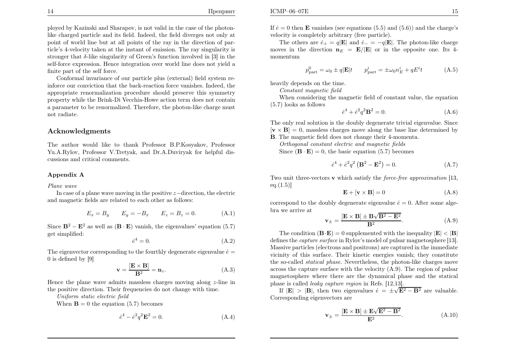<sup>p</sup>loyed by Kazinski and Sharapov, is not valid in the case of the <sup>p</sup>hotonlike charged particle and its field. Indeed, the field diverges not only at point of world line but at all points of the ray in the direction of particle's 4-velocity taken at the instant of emission. The ray singularity is stronger that  $\delta$ -like singularity of Green's function involved in [3] in the self-force expression. Hence integration over world line does not <sup>y</sup>ield <sup>a</sup>finite part of the self force.

Conformal invariance of our particle <sup>p</sup>lus (external) field system reinforce our conviction that the back-reaction force vanishes. Indeed, the appropriate renormalization procedure should preserve this symmetry property while the Brink-Di Vecchia-Howe action term does not contain <sup>a</sup> parameter to be renormalized. Therefore, the <sup>p</sup>hoton-like charge must not radiate.

## Acknowledgments

The author would like to thank Professor B.P.Kosyakov, Professor Yu.A.Rylov, Professor V.Tretyak, and Dr.A.Duviryak for helpful discussions and critical comments.

#### Appendix <sup>A</sup>

Plane wave

In case of a plane wave moving in the positive  $z$ −direction, the electric and magnetic fields are related to each other as follows:

$$
E_x = B_y
$$
  $E_y = -B_x$   $E_z = B_z = 0.$  (A.1)

Since  $\mathbf{B}^2 - \mathbf{E}^2$  as well as  $(\mathbf{B} \cdot \mathbf{E})$  vanish, the eigenvalues' equation (5.7) get simplified:

$$
\dot{e}^4 = 0.\tag{A.2}
$$

The eigenvector corresponding to the fourthly degenerate eigenvalue  $\dot{e} =$ 0 is defined by [9]

$$
\mathbf{v} = \frac{[\mathbf{E} \times \mathbf{B}]}{\mathbf{B}^2} = \mathbf{n}_z.
$$
 (A.3)

Hence the <sup>p</sup>lane wave admits massless charges moving along <sup>z</sup>-line inthe positive direction. Their frequencies do not change with time.

Uniform static electric field

When  $\mathbf{B} = 0$  the equation (5.7) becomes

$$
\dot{e}^4 - \dot{e}^2 q^2 \mathbf{E}^2 = 0. \tag{A.4}
$$

If  $e = 0$  then **E** vanishes (see equations (5.5) and (5.6)) and the charge's velocity is completely arbitrary (free particle).

The others are  $\dot{e}_+ = q|\mathbf{E}|$  and  $\dot{e}_- = -q|\mathbf{E}|$ . The photon-like charge moves in the direction  $n_E = E/|E|$  or in the opposite one. Its 4momentum

$$
p_{\text{part}}^0 = \omega_0 \pm q|\mathbf{E}|t \qquad p_{\text{part}}^i = \pm \omega_0 n_E^i + qE^i t \tag{A.5}
$$

heavily depends on the time.

Constant magnetic field

 When considering the magnetic field of constant value, the equation(5.7) looks as follows

$$
\dot{e}^4 + \dot{e}^2 q^2 \mathbf{B}^2 = 0. \tag{A.6}
$$

 The only real solution is the doubly degenerate trivial eigenvalue. Since $[\mathbf{v} \times \mathbf{B}] = 0$ , massless charges move along the base line determined by

 <sup>B</sup>. The magnetic field does not change their 4-momenta. Orthogonal constant electric and magnetic fields

Since  $(\mathbf{B} \cdot \mathbf{E}) = 0$ , the basic equation (5.7) becomes

$$
\dot{e}^4 + \dot{e}^2 q^2 (\mathbf{B}^2 - \mathbf{E}^2) = 0.
$$
 (A.7)

Two unit three-vectors **v** which satisfy the *force-free approximation* [13,  $eq.(1.5)$ ]

$$
\mathbf{E} + [\mathbf{v} \times \mathbf{B}] = 0 \tag{A.8}
$$

correspond to the doubly degenerate eigenvalue  $\dot{e} = 0$ . After some algebra we arrive at

$$
\mathbf{v}_{\pm} = \frac{[\mathbf{E} \times \mathbf{B}] \pm \mathbf{B} \sqrt{\mathbf{B}^2 - \mathbf{E}^2}}{\mathbf{B}^2}.
$$
 (A.9)

The condition  $(\mathbf{B} \cdot \mathbf{E}) = 0$  supplemented with the inequality  $|\mathbf{E}| < |\mathbf{B}|$ defines the *capture surface* in Rylov's model of pulsar magnetosphere [13]. Massive particles (electrons and positrons) are captured in the immediate vicinity of this surface. Their kinetic energies vanish; they constitutethe so-called *statical phase*. Nevertheless, the photon-like charges move across the capture surface with the velocity (A.9). The region of pulsar magnetosphere where there are the dynamical <sup>p</sup>hase and the statical phase is called *leaky capture region* in Refs. [12,13].

If  $|\mathbf{E}| > |\mathbf{B}|$ , then two eigenvalues  $\dot{e} = \pm \sqrt{\mathbf{E}^2 - \mathbf{B}^2}$  are valuable. Corresponding eigenvectors are

$$
\mathbf{v}_{\pm} = \frac{[\mathbf{E} \times \mathbf{B}] \pm \mathbf{E} \sqrt{\mathbf{E}^2 - \mathbf{B}^2}}{\mathbf{E}^2}.
$$
 (A.10)